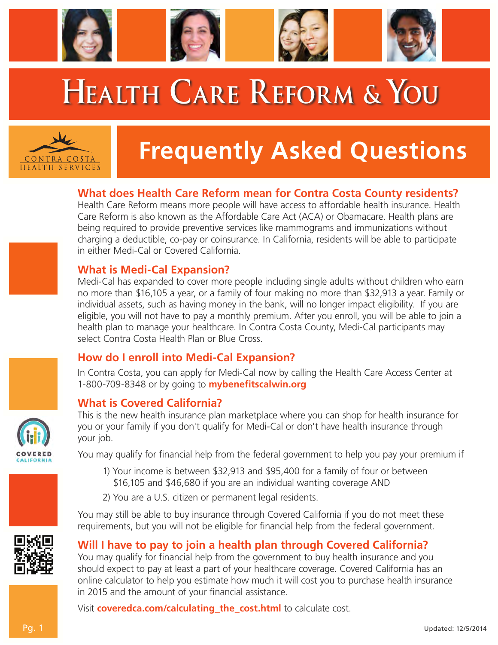







# **Health Care Reform & You**



## **Frequently Asked Questions**

### **What does Health Care Reform mean for Contra Costa County residents?**

Health Care Reform means more people will have access to affordable health insurance. Health Care Reform is also known as the Affordable Care Act (ACA) or Obamacare. Health plans are being required to provide preventive services like mammograms and immunizations without charging a deductible, co-pay or coinsurance. In California, residents will be able to participate in either Medi-Cal or Covered California.

### **What is Medi-Cal Expansion?**

Medi-Cal has expanded to cover more people including single adults without children who earn no more than \$16,105 a year, or a family of four making no more than \$32,913 a year. Family or individual assets, such as having money in the bank, will no longer impact eligibility. If you are eligible, you will not have to pay a monthly premium. After you enroll, you will be able to join a health plan to manage your healthcare. In Contra Costa County, Medi-Cal participants may select Contra Costa Health Plan or Blue Cross.

### **How do I enroll into Medi-Cal Expansion?**

In Contra Costa, you can apply for Medi-Cal now by calling the Health Care Access Center at 1-800-709-8348 or by going to **mybenefitscalwin.org**

### **What is Covered California?**



This is the new health insurance plan marketplace where you can shop for health insurance for you or your family if you don't qualify for Medi-Cal or don't have health insurance through your job.

You may qualify for financial help from the federal government to help you pay your premium if

- 1) Your income is between \$32,913 and \$95,400 for a family of four or between \$16,105 and \$46,680 if you are an individual wanting coverage AND
- 2) You are a U.S. citizen or permanent legal residents.

You may still be able to buy insurance through Covered California if you do not meet these requirements, but you will not be eligible for financial help from the federal government.

### **Will I have to pay to join a health plan through Covered California?**

You may qualify for financial help from the government to buy health insurance and you should expect to pay at least a part of your healthcare coverage. Covered California has an online calculator to help you estimate how much it will cost you to purchase health insurance in 2015 and the amount of your financial assistance.

Visit **coveredca.com/calculating\_the\_cost.html** to calculate cost.